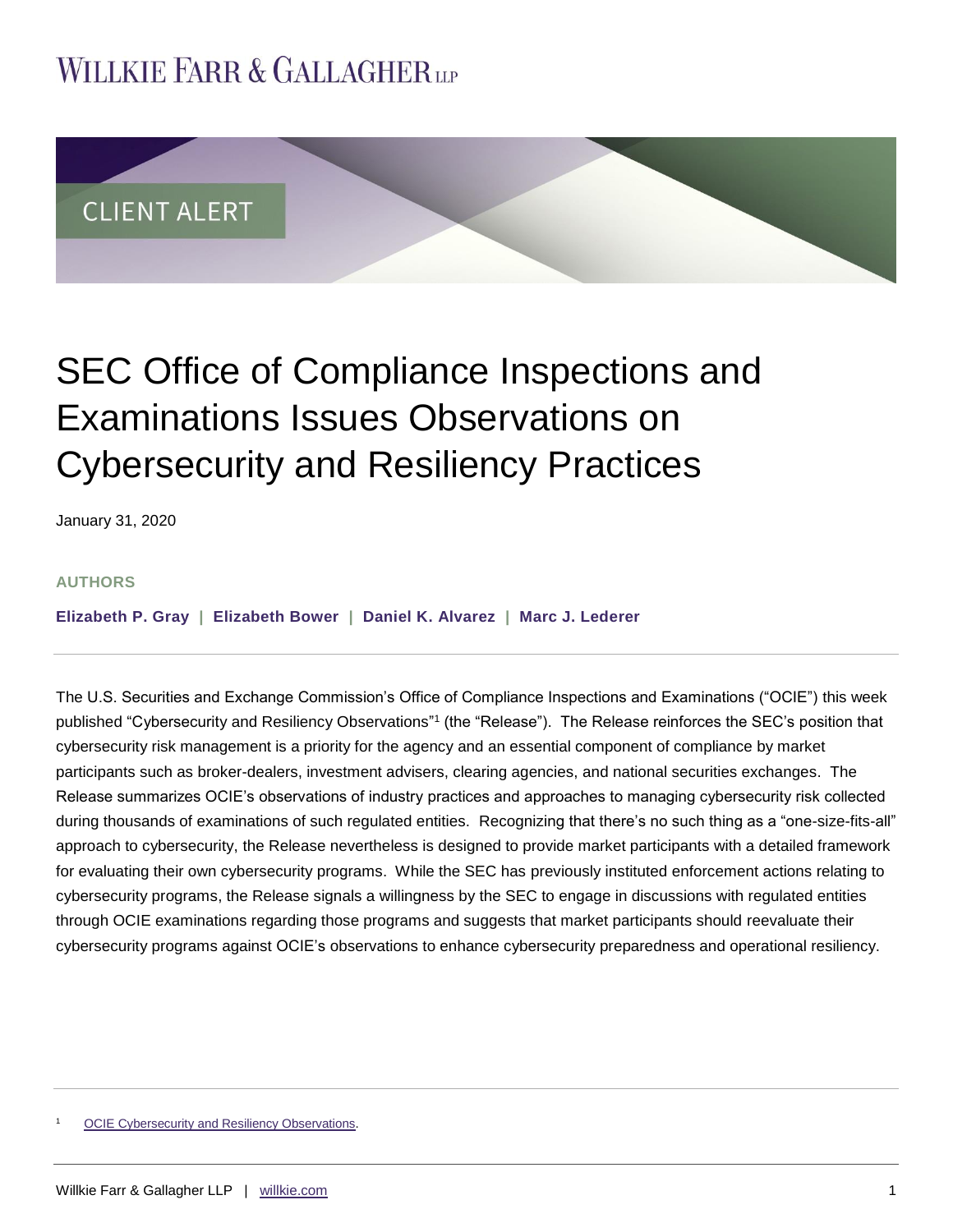## **WILLKIE FARR & GALLAGHERUP**



# SEC Office of Compliance Inspections and Examinations Issues Observations on Cybersecurity and Resiliency Practices

January 31, 2020

#### **AUTHORS**

**[Elizabeth](https://www.willkie.com/professionals/g/gray-elizabeth-p) P. Gray | [Elizabeth Bower](https://www.willkie.com/professionals/b/bower-elizabeth) | [Daniel K. Alvarez](https://www.willkie.com/professionals/a/alvarez-daniel) | [Marc J. Lederer](https://www.willkie.com/professionals/l/lederer-marc-j)**

The U.S. Securities and Exchange Commission's Office of Compliance Inspections and Examinations ("OCIE") this week published "Cybersecurity and Resiliency Observations"1 (the "Release"). The Release reinforces the SEC's position that cybersecurity risk management is a priority for the agency and an essential component of compliance by market participants such as broker-dealers, investment advisers, clearing agencies, and national securities exchanges. The Release summarizes OCIE's observations of industry practices and approaches to managing cybersecurity risk collected during thousands of examinations of such regulated entities. Recognizing that there's no such thing as a "one-size-fits-all" approach to cybersecurity, the Release nevertheless is designed to provide market participants with a detailed framework for evaluating their own cybersecurity programs. While the SEC has previously instituted enforcement actions relating to cybersecurity programs, the Release signals a willingness by the SEC to engage in discussions with regulated entities through OCIE examinations regarding those programs and suggests that market participants should reevaluate their cybersecurity programs against OCIE's observations to enhance cybersecurity preparedness and operational resiliency.

[OCIE Cybersecurity and Resiliency Observations.](https://www.sec.gov/files/OCIE%20Cybersecurity%20and%20Resiliency%20Observations.pdf)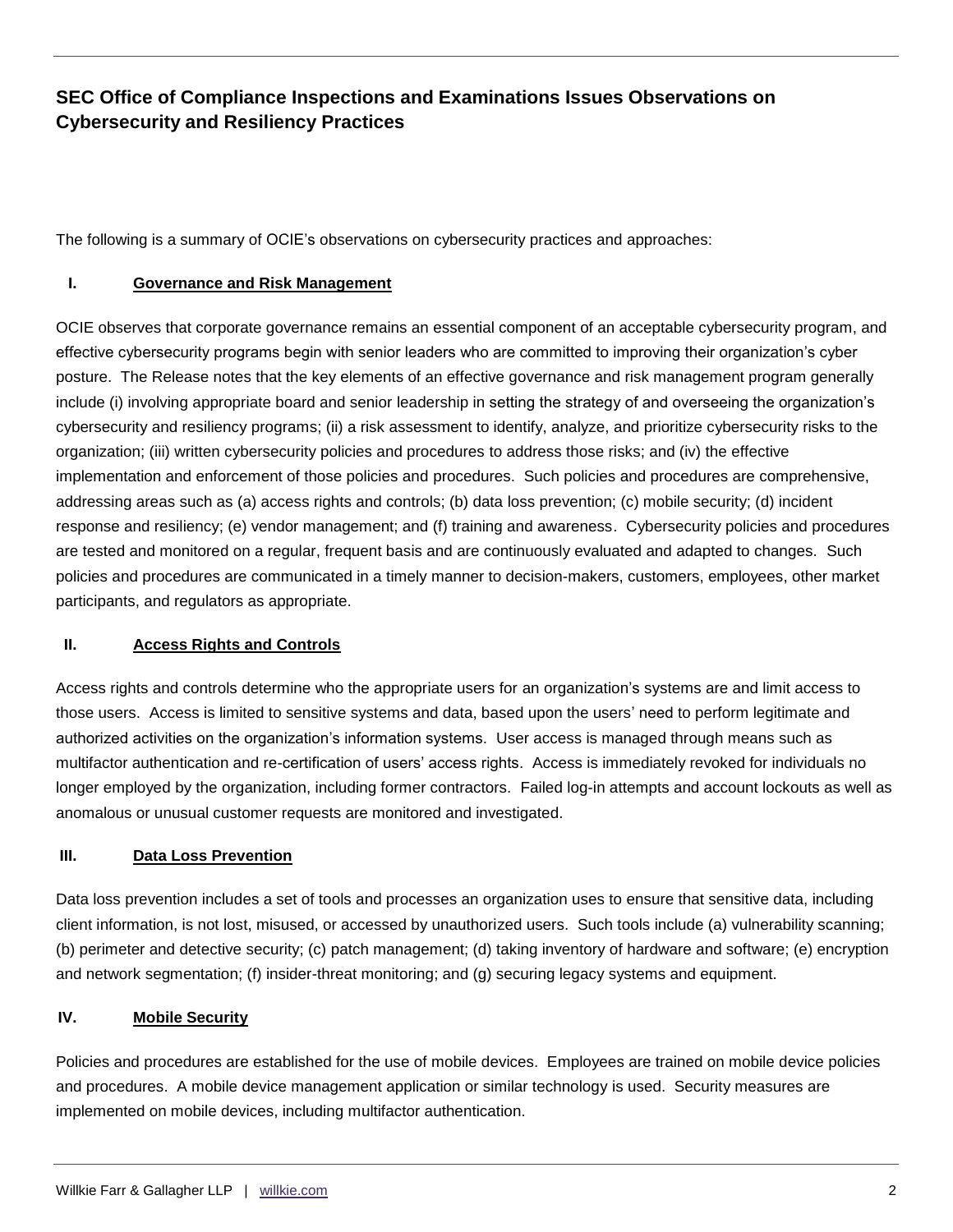## **SEC Office of Compliance Inspections and Examinations Issues Observations on Cybersecurity and Resiliency Practices**

The following is a summary of OCIE's observations on cybersecurity practices and approaches:

#### **I. Governance and Risk Management**

OCIE observes that corporate governance remains an essential component of an acceptable cybersecurity program, and effective cybersecurity programs begin with senior leaders who are committed to improving their organization's cyber posture. The Release notes that the key elements of an effective governance and risk management program generally include (i) involving appropriate board and senior leadership in setting the strategy of and overseeing the organization's cybersecurity and resiliency programs; (ii) a risk assessment to identify, analyze, and prioritize cybersecurity risks to the organization; (iii) written cybersecurity policies and procedures to address those risks; and (iv) the effective implementation and enforcement of those policies and procedures. Such policies and procedures are comprehensive, addressing areas such as (a) access rights and controls; (b) data loss prevention; (c) mobile security; (d) incident response and resiliency; (e) vendor management; and (f) training and awareness. Cybersecurity policies and procedures are tested and monitored on a regular, frequent basis and are continuously evaluated and adapted to changes. Such policies and procedures are communicated in a timely manner to decision-makers, customers, employees, other market participants, and regulators as appropriate.

#### **II. Access Rights and Controls**

Access rights and controls determine who the appropriate users for an organization's systems are and limit access to those users. Access is limited to sensitive systems and data, based upon the users' need to perform legitimate and authorized activities on the organization's information systems. User access is managed through means such as multifactor authentication and re-certification of users' access rights. Access is immediately revoked for individuals no longer employed by the organization, including former contractors. Failed log-in attempts and account lockouts as well as anomalous or unusual customer requests are monitored and investigated.

#### **III. Data Loss Prevention**

Data loss prevention includes a set of tools and processes an organization uses to ensure that sensitive data, including client information, is not lost, misused, or accessed by unauthorized users. Such tools include (a) vulnerability scanning; (b) perimeter and detective security; (c) patch management; (d) taking inventory of hardware and software; (e) encryption and network segmentation; (f) insider-threat monitoring; and (g) securing legacy systems and equipment.

#### **IV. Mobile Security**

Policies and procedures are established for the use of mobile devices. Employees are trained on mobile device policies and procedures. A mobile device management application or similar technology is used. Security measures are implemented on mobile devices, including multifactor authentication.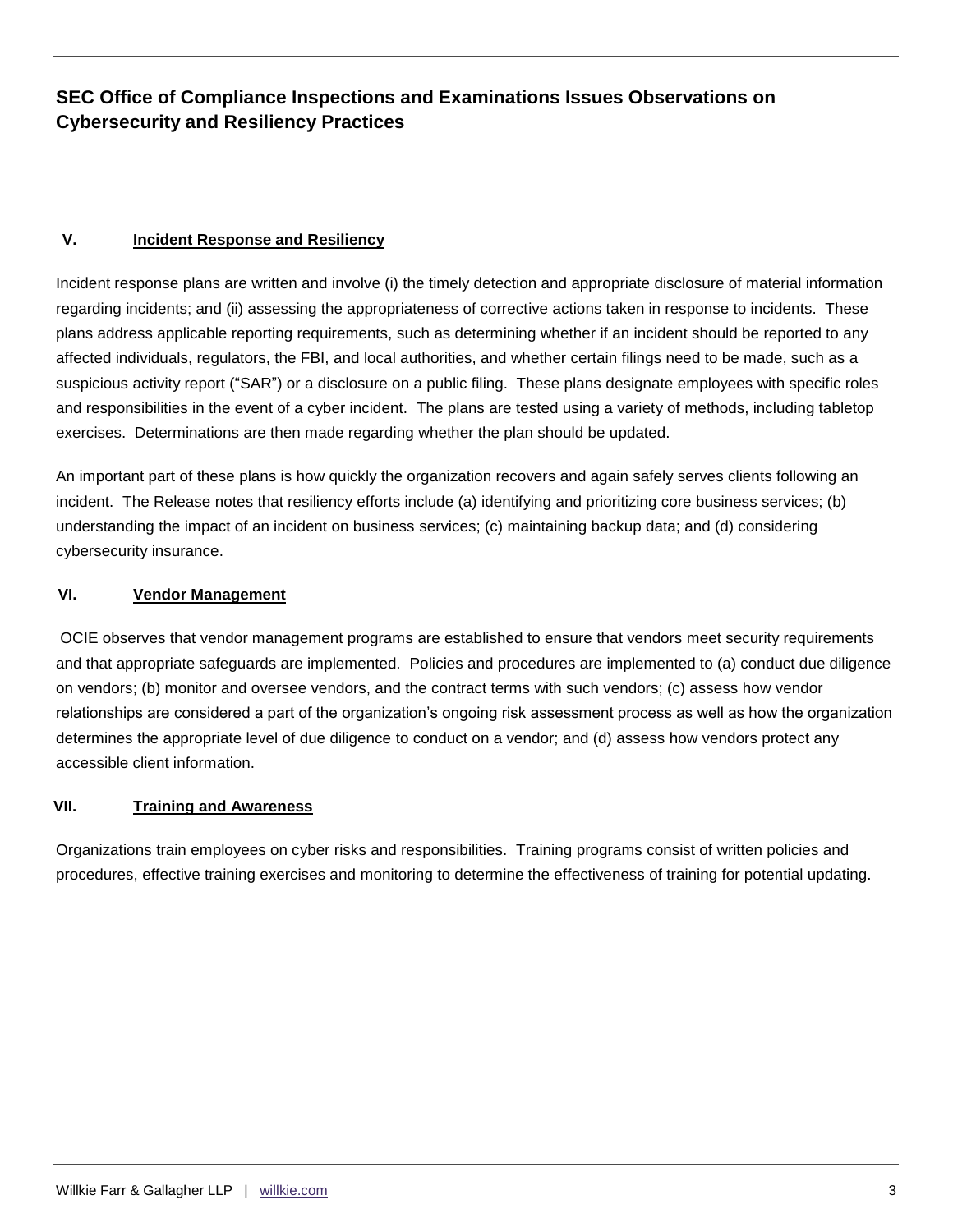## **SEC Office of Compliance Inspections and Examinations Issues Observations on Cybersecurity and Resiliency Practices**

#### **V. Incident Response and Resiliency**

Incident response plans are written and involve (i) the timely detection and appropriate disclosure of material information regarding incidents; and (ii) assessing the appropriateness of corrective actions taken in response to incidents. These plans address applicable reporting requirements, such as determining whether if an incident should be reported to any affected individuals, regulators, the FBI, and local authorities, and whether certain filings need to be made, such as a suspicious activity report ("SAR") or a disclosure on a public filing. These plans designate employees with specific roles and responsibilities in the event of a cyber incident. The plans are tested using a variety of methods, including tabletop exercises. Determinations are then made regarding whether the plan should be updated.

An important part of these plans is how quickly the organization recovers and again safely serves clients following an incident. The Release notes that resiliency efforts include (a) identifying and prioritizing core business services; (b) understanding the impact of an incident on business services; (c) maintaining backup data; and (d) considering cybersecurity insurance.

#### **VI. Vendor Management**

OCIE observes that vendor management programs are established to ensure that vendors meet security requirements and that appropriate safeguards are implemented. Policies and procedures are implemented to (a) conduct due diligence on vendors; (b) monitor and oversee vendors, and the contract terms with such vendors; (c) assess how vendor relationships are considered a part of the organization's ongoing risk assessment process as well as how the organization determines the appropriate level of due diligence to conduct on a vendor; and (d) assess how vendors protect any accessible client information.

#### **VII. Training and Awareness**

Organizations train employees on cyber risks and responsibilities. Training programs consist of written policies and procedures, effective training exercises and monitoring to determine the effectiveness of training for potential updating.